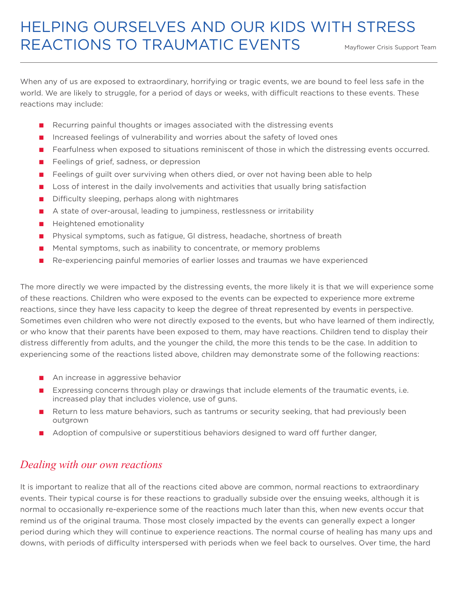## HELPING OURSELVES AND OUR KIDS WITH STRESS REACTIONS TO TRAUMATIC EVENTS

Mayflower Crisis Support Team

When any of us are exposed to extraordinary, horrifying or tragic events, we are bound to feel less safe in the world. We are likely to struggle, for a period of days or weeks, with difficult reactions to these events. These reactions may include:

- Recurring painful thoughts or images associated with the distressing events
- Increased feelings of vulnerability and worries about the safety of loved ones
- Fearfulness when exposed to situations reminiscent of those in which the distressing events occurred.
- Feelings of grief, sadness, or depression
- Feelings of guilt over surviving when others died, or over not having been able to help
- Loss of interest in the daily involvements and activities that usually bring satisfaction
- Difficulty sleeping, perhaps along with nightmares
- A state of over-arousal, leading to jumpiness, restlessness or irritability
- Heightened emotionality
- Physical symptoms, such as fatigue, GI distress, headache, shortness of breath
- Mental symptoms, such as inability to concentrate, or memory problems
- Re-experiencing painful memories of earlier losses and traumas we have experienced

The more directly we were impacted by the distressing events, the more likely it is that we will experience some of these reactions. Children who were exposed to the events can be expected to experience more extreme reactions, since they have less capacity to keep the degree of threat represented by events in perspective. Sometimes even children who were not directly exposed to the events, but who have learned of them indirectly, or who know that their parents have been exposed to them, may have reactions. Children tend to display their distress differently from adults, and the younger the child, the more this tends to be the case. In addition to experiencing some of the reactions listed above, children may demonstrate some of the following reactions:

- An increase in aggressive behavior
- Expressing concerns through play or drawings that include elements of the traumatic events, i.e. increased play that includes violence, use of guns.
- Return to less mature behaviors, such as tantrums or security seeking, that had previously been outgrown
- Adoption of compulsive or superstitious behaviors designed to ward off further danger,

## *Dealing with our own reactions*

It is important to realize that all of the reactions cited above are common, normal reactions to extraordinary events. Their typical course is for these reactions to gradually subside over the ensuing weeks, although it is normal to occasionally re-experience some of the reactions much later than this, when new events occur that remind us of the original trauma. Those most closely impacted by the events can generally expect a longer period during which they will continue to experience reactions. The normal course of healing has many ups and downs, with periods of difficulty interspersed with periods when we feel back to ourselves. Over time, the hard